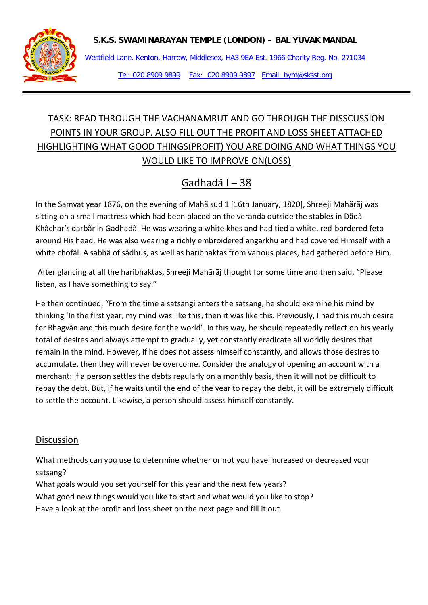

Westfield Lane, Kenton, Harrow, Middlesex, HA3 9EA Est. 1966 Charity Reg. No. 271034 Tel: 020 8909 9899 Fax: 020 8909 9897 Email: bym@sksst.org

## TASK: READ THROUGH THE VACHANAMRUT AND GO THROUGH THE DISSCUSSION POINTS IN YOUR GROUP. ALSO FILL OUT THE PROFIT AND LOSS SHEET ATTACHED HIGHLIGHTING WHAT GOOD THINGS(PROFIT) YOU ARE DOING AND WHAT THINGS YOU WOULD LIKE TO IMPROVE ON(LOSS)

## Gadhadã I – 38

In the Samvat year 1876, on the evening of Mahã sud 1 [16th January, 1820], Shreeji Mahãrãj was sitting on a small mattress which had been placed on the veranda outside the stables in Dãdã Khãchar's darbãr in Gadhadã. He was wearing a white khes and had tied a white, red-bordered feto around His head. He was also wearing a richly embroidered angarkhu and had covered Himself with a white chofãl. A sabhã of sãdhus, as well as haribhaktas from various places, had gathered before Him.

After glancing at all the haribhaktas, Shreeji Mahãrãj thought for some time and then said, "Please listen, as I have something to say."

He then continued, "From the time a satsangi enters the satsang, he should examine his mind by thinking 'In the first year, my mind was like this, then it was like this. Previously, I had this much desire for Bhagvãn and this much desire for the world'. In this way, he should repeatedly reflect on his yearly total of desires and always attempt to gradually, yet constantly eradicate all worldly desires that remain in the mind. However, if he does not assess himself constantly, and allows those desires to accumulate, then they will never be overcome. Consider the analogy of opening an account with a merchant: If a person settles the debts regularly on a monthly basis, then it will not be difficult to repay the debt. But, if he waits until the end of the year to repay the debt, it will be extremely difficult to settle the account. Likewise, a person should assess himself constantly.

## **Discussion**

What methods can you use to determine whether or not you have increased or decreased your satsang?

What goals would you set yourself for this year and the next few years?

What good new things would you like to start and what would you like to stop?

Have a look at the profit and loss sheet on the next page and fill it out.